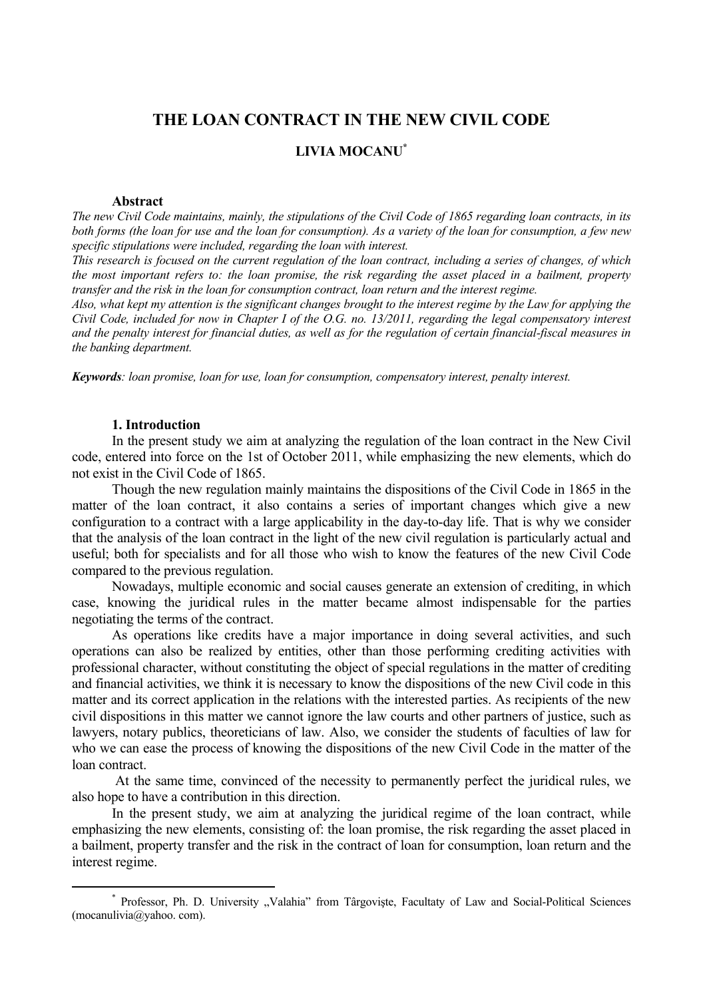# **THE LOAN CONTRACT IN THE NEW CIVIL CODE**

## **LIVIA MOCANU\***

#### **Abstract**

*The new Civil Code maintains, mainly, the stipulations of the Civil Code of 1865 regarding loan contracts, in its both forms (the loan for use and the loan for consumption). As a variety of the loan for consumption, a few new specific stipulations were included, regarding the loan with interest.* 

*This research is focused on the current regulation of the loan contract, including a series of changes, of which the most important refers to: the loan promise, the risk regarding the asset placed in a bailment, property transfer and the risk in the loan for consumption contract, loan return and the interest regime.* 

*Also, what kept my attention is the significant changes brought to the interest regime by the Law for applying the Civil Code, included for now in Chapter I of the O.G. no. 13/2011, regarding the legal compensatory interest and the penalty interest for financial duties, as well as for the regulation of certain financial-fiscal measures in the banking department.* 

*Keywords: loan promise, loan for use, loan for consumption, compensatory interest, penalty interest.* 

#### **1. Introduction**

In the present study we aim at analyzing the regulation of the loan contract in the New Civil code, entered into force on the 1st of October 2011, while emphasizing the new elements, which do not exist in the Civil Code of 1865.

Though the new regulation mainly maintains the dispositions of the Civil Code in 1865 in the matter of the loan contract, it also contains a series of important changes which give a new configuration to a contract with a large applicability in the day-to-day life. That is why we consider that the analysis of the loan contract in the light of the new civil regulation is particularly actual and useful; both for specialists and for all those who wish to know the features of the new Civil Code compared to the previous regulation.

Nowadays, multiple economic and social causes generate an extension of crediting, in which case, knowing the juridical rules in the matter became almost indispensable for the parties negotiating the terms of the contract.

As operations like credits have a major importance in doing several activities, and such operations can also be realized by entities, other than those performing crediting activities with professional character, without constituting the object of special regulations in the matter of crediting and financial activities, we think it is necessary to know the dispositions of the new Civil code in this matter and its correct application in the relations with the interested parties. As recipients of the new civil dispositions in this matter we cannot ignore the law courts and other partners of justice, such as lawyers, notary publics, theoreticians of law. Also, we consider the students of faculties of law for who we can ease the process of knowing the dispositions of the new Civil Code in the matter of the loan contract.

At the same time, convinced of the necessity to permanently perfect the juridical rules, we also hope to have a contribution in this direction.

In the present study, we aim at analyzing the juridical regime of the loan contract, while emphasizing the new elements, consisting of: the loan promise, the risk regarding the asset placed in a bailment, property transfer and the risk in the contract of loan for consumption, loan return and the interest regime.

 <sup>\*</sup> \* Professor, Ph. D. University "Valahia" from Târgoviste, Facultaty of Law and Social-Political Sciences (mocanulivia@yahoo. com).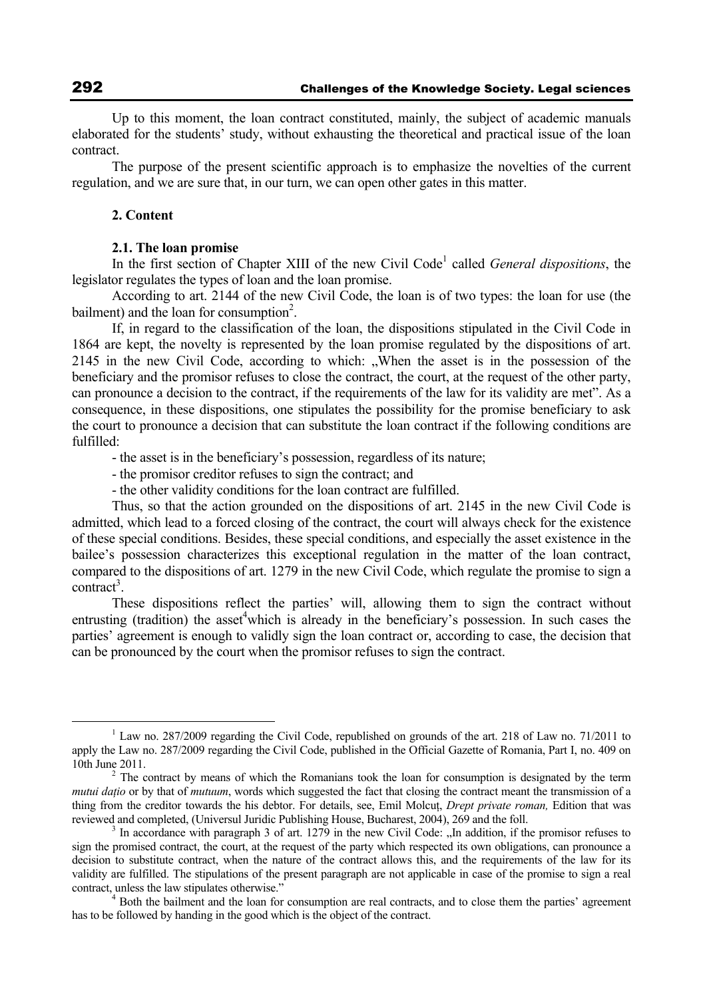Up to this moment, the loan contract constituted, mainly, the subject of academic manuals elaborated for the students' study, without exhausting the theoretical and practical issue of the loan contract.

The purpose of the present scientific approach is to emphasize the novelties of the current regulation, and we are sure that, in our turn, we can open other gates in this matter.

### **2. Content**

#### **2.1. The loan promise**

In the first section of Chapter XIII of the new Civil Code<sup>1</sup> called *General dispositions*, the legislator regulates the types of loan and the loan promise.

According to art. 2144 of the new Civil Code, the loan is of two types: the loan for use (the bailment) and the loan for consumption<sup>2</sup>.

If, in regard to the classification of the loan, the dispositions stipulated in the Civil Code in 1864 are kept, the novelty is represented by the loan promise regulated by the dispositions of art. 2145 in the new Civil Code, according to which: "When the asset is in the possession of the beneficiary and the promisor refuses to close the contract, the court, at the request of the other party, can pronounce a decision to the contract, if the requirements of the law for its validity are met". As a consequence, in these dispositions, one stipulates the possibility for the promise beneficiary to ask the court to pronounce a decision that can substitute the loan contract if the following conditions are fulfilled:

- the asset is in the beneficiary's possession, regardless of its nature;

- the promisor creditor refuses to sign the contract; and

- the other validity conditions for the loan contract are fulfilled.

Thus, so that the action grounded on the dispositions of art. 2145 in the new Civil Code is admitted, which lead to a forced closing of the contract, the court will always check for the existence of these special conditions. Besides, these special conditions, and especially the asset existence in the bailee's possession characterizes this exceptional regulation in the matter of the loan contract, compared to the dispositions of art. 1279 in the new Civil Code, which regulate the promise to sign a  $control<sup>3</sup>$ .

These dispositions reflect the parties' will, allowing them to sign the contract without entrusting (tradition) the asset<sup>4</sup>which is already in the beneficiary's possession. In such cases the parties' agreement is enough to validly sign the loan contract or, according to case, the decision that can be pronounced by the court when the promisor refuses to sign the contract.

 $\frac{1}{1}$  $\rm L^1$  Law no. 287/2009 regarding the Civil Code, republished on grounds of the art. 218 of Law no. 71/2011 to apply the Law no. 287/2009 regarding the Civil Code, published in the Official Gazette of Romania, Part I, no. 409 on 10th June 2011. 2

<sup>&</sup>lt;sup>2</sup> The contract by means of which the Romanians took the loan for consumption is designated by the term *mutui datio* or by that of *mutuum*, words which suggested the fact that closing the contract meant the transmission of a thing from the creditor towards the his debtor. For details, see, Emil Molcut, *Drept private roman*, Edition that was reviewed and completed, (Universul Juridic Publishing House, Bucharest, 2004), 269 and the foll. 3

<sup>&</sup>lt;sup>3</sup> In accordance with paragraph 3 of art. 1279 in the new Civil Code: "In addition, if the promisor refuses to sign the promised contract, the court, at the request of the party which respected its own obligations, can pronounce a decision to substitute contract, when the nature of the contract allows this, and the requirements of the law for its validity are fulfilled. The stipulations of the present paragraph are not applicable in case of the promise to sign a real contract, unless the law stipulates otherwise."

<sup>&</sup>lt;sup>4</sup> Both the bailment and the loan for consumption are real contracts, and to close them the parties' agreement has to be followed by handing in the good which is the object of the contract.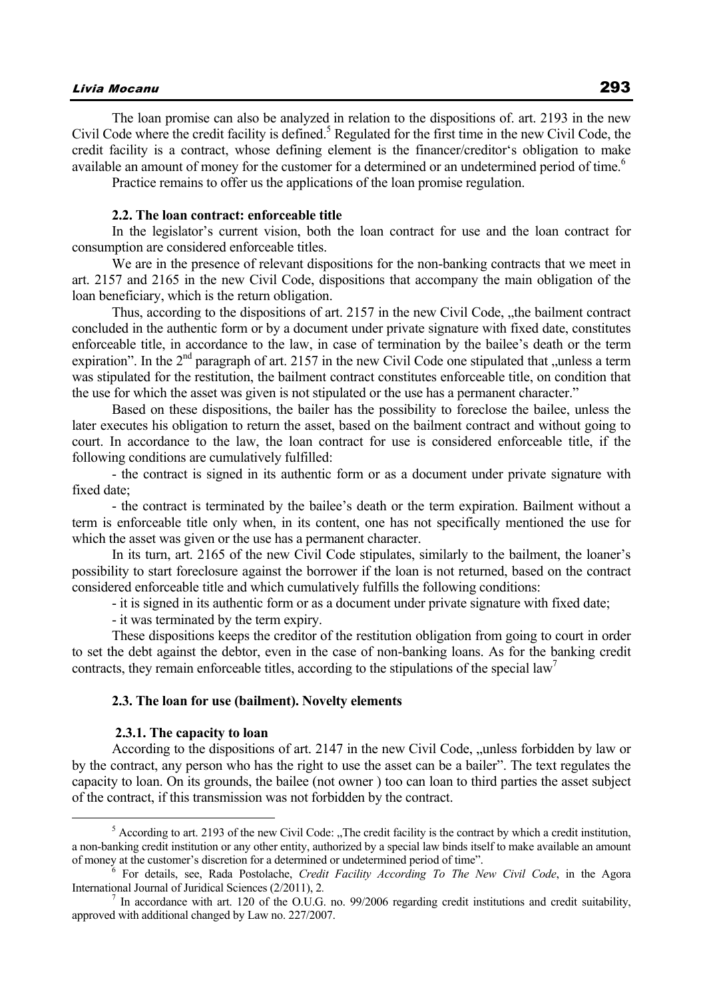## Livia Mocanu 293

The loan promise can also be analyzed in relation to the dispositions of. art. 2193 in the new Civil Code where the credit facility is defined.<sup>5</sup> Regulated for the first time in the new Civil Code, the credit facility is a contract, whose defining element is the financer/creditor's obligation to make available an amount of money for the customer for a determined or an undetermined period of time.<sup>6</sup>

Practice remains to offer us the applications of the loan promise regulation.

## **2.2. The loan contract: enforceable title**

In the legislator's current vision, both the loan contract for use and the loan contract for consumption are considered enforceable titles.

We are in the presence of relevant dispositions for the non-banking contracts that we meet in art. 2157 and 2165 in the new Civil Code, dispositions that accompany the main obligation of the loan beneficiary, which is the return obligation.

Thus, according to the dispositions of art. 2157 in the new Civil Code, the bailment contract concluded in the authentic form or by a document under private signature with fixed date, constitutes enforceable title, in accordance to the law, in case of termination by the bailee's death or the term expiration". In the  $2<sup>nd</sup>$  paragraph of art. 2157 in the new Civil Code one stipulated that "unless a term was stipulated for the restitution, the bailment contract constitutes enforceable title, on condition that the use for which the asset was given is not stipulated or the use has a permanent character."

Based on these dispositions, the bailer has the possibility to foreclose the bailee, unless the later executes his obligation to return the asset, based on the bailment contract and without going to court. In accordance to the law, the loan contract for use is considered enforceable title, if the following conditions are cumulatively fulfilled:

- the contract is signed in its authentic form or as a document under private signature with fixed date;

- the contract is terminated by the bailee's death or the term expiration. Bailment without a term is enforceable title only when, in its content, one has not specifically mentioned the use for which the asset was given or the use has a permanent character.

In its turn, art. 2165 of the new Civil Code stipulates, similarly to the bailment, the loaner's possibility to start foreclosure against the borrower if the loan is not returned, based on the contract considered enforceable title and which cumulatively fulfills the following conditions:

- it is signed in its authentic form or as a document under private signature with fixed date;

- it was terminated by the term expiry.

These dispositions keeps the creditor of the restitution obligation from going to court in order to set the debt against the debtor, even in the case of non-banking loans. As for the banking credit contracts, they remain enforceable titles, according to the stipulations of the special law<sup>7</sup>

#### **2.3. The loan for use (bailment). Novelty elements**

#### **2.3.1. The capacity to loan**

According to the dispositions of art. 2147 in the new Civil Code, "unless forbidden by law or by the contract, any person who has the right to use the asset can be a bailer". The text regulates the capacity to loan. On its grounds, the bailee (not owner ) too can loan to third parties the asset subject of the contract, if this transmission was not forbidden by the contract.

 $\frac{1}{5}$  $<sup>5</sup>$  According to art. 2193 of the new Civil Code: "The credit facility is the contract by which a credit institution,</sup> a non-banking credit institution or any other entity, authorized by a special law binds itself to make available an amount of money at the customer's discretion for a determined or undetermined period of time". 6

For details, see, Rada Postolache, *Credit Facility According To The New Civil Code*, in the Agora International Journal of Juridical Sciences (2/2011), 2.

In accordance with art. 120 of the O.U.G. no. 99/2006 regarding credit institutions and credit suitability, approved with additional changed by Law no. 227/2007.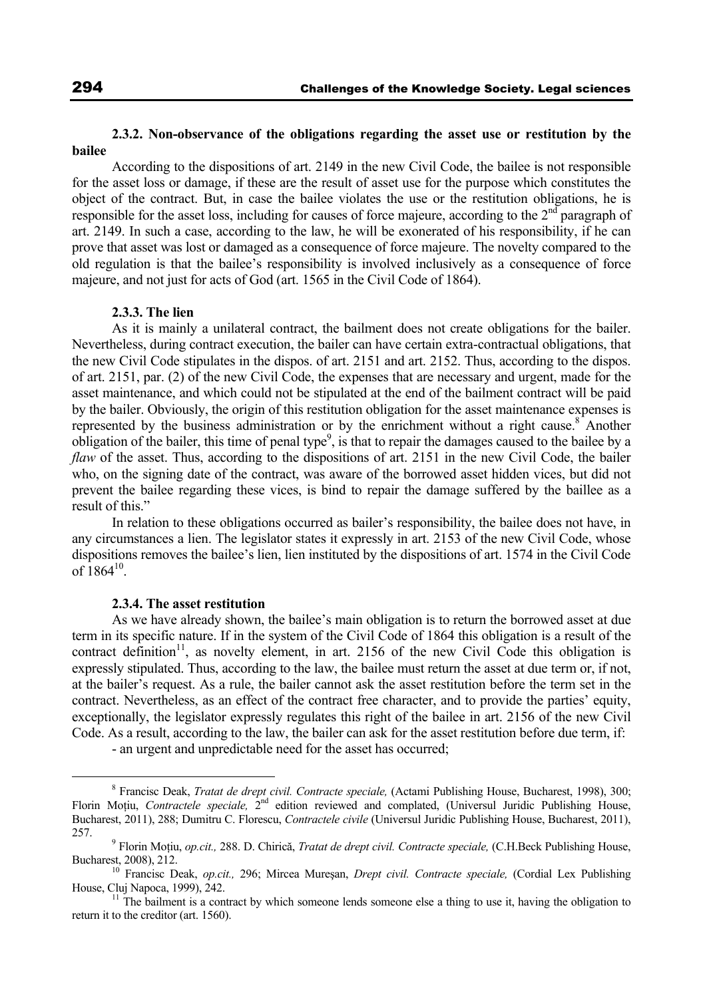## **2.3.2. Non-observance of the obligations regarding the asset use or restitution by the bailee**

According to the dispositions of art. 2149 in the new Civil Code, the bailee is not responsible for the asset loss or damage, if these are the result of asset use for the purpose which constitutes the object of the contract. But, in case the bailee violates the use or the restitution obligations, he is responsible for the asset loss, including for causes of force majeure, according to the 2<sup>nd</sup> paragraph of art. 2149. In such a case, according to the law, he will be exonerated of his responsibility, if he can prove that asset was lost or damaged as a consequence of force majeure. The novelty compared to the old regulation is that the bailee's responsibility is involved inclusively as a consequence of force majeure, and not just for acts of God (art. 1565 in the Civil Code of 1864).

### **2.3.3. The lien**

As it is mainly a unilateral contract, the bailment does not create obligations for the bailer. Nevertheless, during contract execution, the bailer can have certain extra-contractual obligations, that the new Civil Code stipulates in the dispos. of art. 2151 and art. 2152. Thus, according to the dispos. of art. 2151, par. (2) of the new Civil Code, the expenses that are necessary and urgent, made for the asset maintenance, and which could not be stipulated at the end of the bailment contract will be paid by the bailer. Obviously, the origin of this restitution obligation for the asset maintenance expenses is represented by the business administration or by the enrichment without a right cause.<sup>8</sup> Another obligation of the bailer, this time of penal type<sup>9</sup>, is that to repair the damages caused to the bailee by a *flaw* of the asset. Thus, according to the dispositions of art. 2151 in the new Civil Code, the bailer who, on the signing date of the contract, was aware of the borrowed asset hidden vices, but did not prevent the bailee regarding these vices, is bind to repair the damage suffered by the baillee as a result of this."

In relation to these obligations occurred as bailer's responsibility, the bailee does not have, in any circumstances a lien. The legislator states it expressly in art. 2153 of the new Civil Code, whose dispositions removes the bailee's lien, lien instituted by the dispositions of art. 1574 in the Civil Code of  $1864^{10}$ .

#### **2.3.4. The asset restitution**

As we have already shown, the bailee's main obligation is to return the borrowed asset at due term in its specific nature. If in the system of the Civil Code of 1864 this obligation is a result of the contract definition<sup>11</sup>, as novelty element, in art. 2156 of the new Civil Code this obligation is expressly stipulated. Thus, according to the law, the bailee must return the asset at due term or, if not, at the bailer's request. As a rule, the bailer cannot ask the asset restitution before the term set in the contract. Nevertheless, as an effect of the contract free character, and to provide the parties' equity, exceptionally, the legislator expressly regulates this right of the bailee in art. 2156 of the new Civil Code. As a result, according to the law, the bailer can ask for the asset restitution before due term, if:

- an urgent and unpredictable need for the asset has occurred;

 $\frac{1}{8}$  Francisc Deak, *Tratat de drept civil. Contracte speciale,* (Actami Publishing House, Bucharest, 1998), 300; Florin Moţiu, *Contractele speciale,* 2nd edition reviewed and complated, (Universul Juridic Publishing House, Bucharest, 2011), 288; Dumitru C. Florescu, *Contractele civile* (Universul Juridic Publishing House, Bucharest, 2011), 257. 9

Florin Moţiu, *op.cit.,* 288. D. Chirică, *Tratat de drept civil. Contracte speciale,* (C.H.Beck Publishing House,

<sup>&</sup>lt;sup>10</sup> Francisc Deak, *op.cit.*, 296; Mircea Mureșan, *Drept civil. Contracte speciale, (Cordial Lex Publishing* House, Cluj Napoca, 1999), 242.<br><sup>11</sup> The bailment is a contract by which someone lends someone else a thing to use it, having the obligation to

return it to the creditor (art. 1560).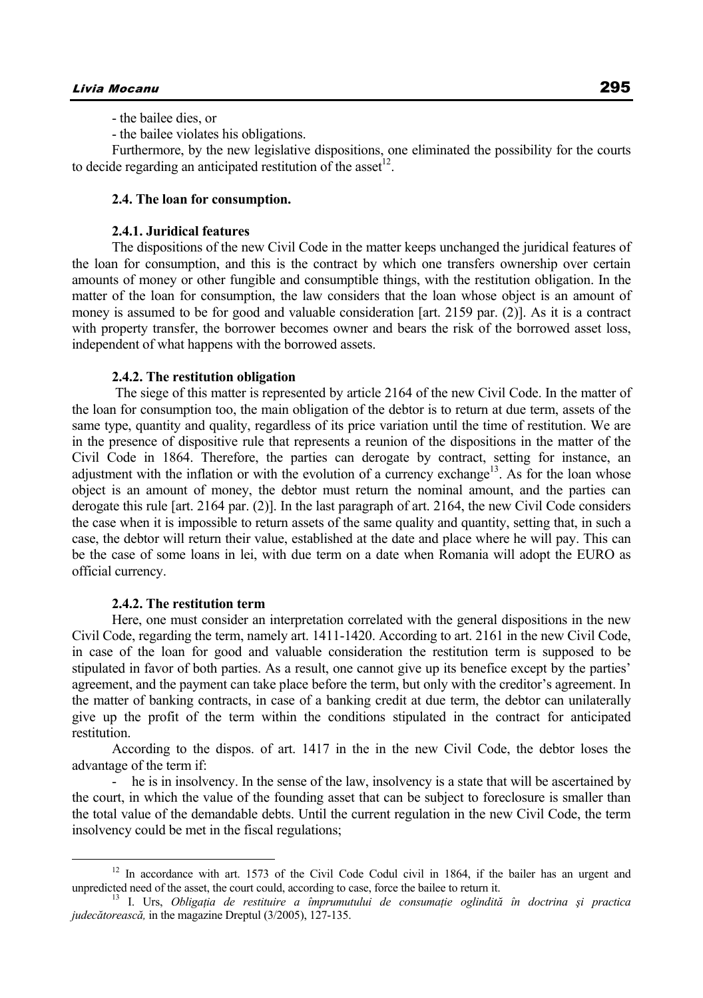- the bailee dies, or

- the bailee violates his obligations.

Furthermore, by the new legislative dispositions, one eliminated the possibility for the courts to decide regarding an anticipated restitution of the asset<sup>12</sup>.

## **2.4. The loan for consumption.**

### **2.4.1. Juridical features**

The dispositions of the new Civil Code in the matter keeps unchanged the juridical features of the loan for consumption, and this is the contract by which one transfers ownership over certain amounts of money or other fungible and consumptible things, with the restitution obligation. In the matter of the loan for consumption, the law considers that the loan whose object is an amount of money is assumed to be for good and valuable consideration [art. 2159 par. (2)]. As it is a contract with property transfer, the borrower becomes owner and bears the risk of the borrowed asset loss, independent of what happens with the borrowed assets.

#### **2.4.2. The restitution obligation**

 The siege of this matter is represented by article 2164 of the new Civil Code. In the matter of the loan for consumption too, the main obligation of the debtor is to return at due term, assets of the same type, quantity and quality, regardless of its price variation until the time of restitution. We are in the presence of dispositive rule that represents a reunion of the dispositions in the matter of the Civil Code in 1864. Therefore, the parties can derogate by contract, setting for instance, an adjustment with the inflation or with the evolution of a currency exchange<sup>13</sup>. As for the loan whose object is an amount of money, the debtor must return the nominal amount, and the parties can derogate this rule [art. 2164 par. (2)]. In the last paragraph of art. 2164, the new Civil Code considers the case when it is impossible to return assets of the same quality and quantity, setting that, in such a case, the debtor will return their value, established at the date and place where he will pay. This can be the case of some loans in lei, with due term on a date when Romania will adopt the EURO as official currency.

#### **2.4.2. The restitution term**

Here, one must consider an interpretation correlated with the general dispositions in the new Civil Code, regarding the term, namely art. 1411-1420. According to art. 2161 in the new Civil Code, in case of the loan for good and valuable consideration the restitution term is supposed to be stipulated in favor of both parties. As a result, one cannot give up its benefice except by the parties' agreement, and the payment can take place before the term, but only with the creditor's agreement. In the matter of banking contracts, in case of a banking credit at due term, the debtor can unilaterally give up the profit of the term within the conditions stipulated in the contract for anticipated restitution.

According to the dispos. of art. 1417 in the in the new Civil Code, the debtor loses the advantage of the term if:

- he is in insolvency. In the sense of the law, insolvency is a state that will be ascertained by the court, in which the value of the founding asset that can be subject to foreclosure is smaller than the total value of the demandable debts. Until the current regulation in the new Civil Code, the term insolvency could be met in the fiscal regulations;

 $12$  In accordance with art. 1573 of the Civil Code Codul civil in 1864, if the bailer has an urgent and unpredicted need of the asset, the court could, according to case, force the bailee to return it.<br><sup>13</sup> I. Urs, *Obligatia de restituire a împrumutului de consumație oglindită în doctrina și practica* 

*judecătorească,* in the magazine Dreptul (3/2005), 127-135.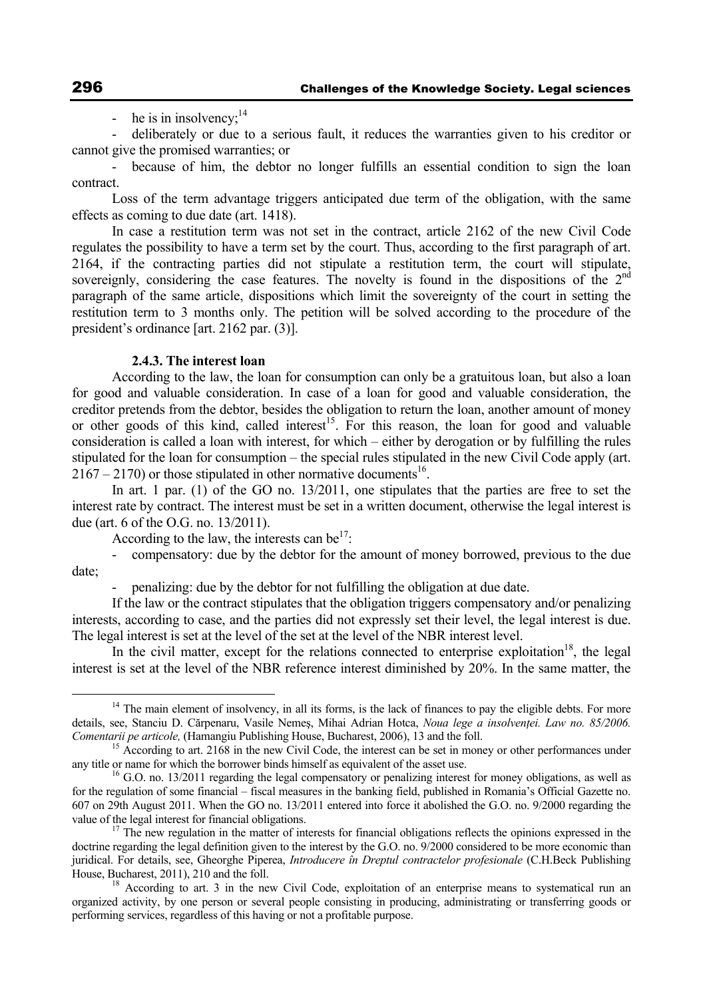- he is in insolvency: $14$ 

- deliberately or due to a serious fault, it reduces the warranties given to his creditor or cannot give the promised warranties; or

because of him, the debtor no longer fulfills an essential condition to sign the loan contract.

Loss of the term advantage triggers anticipated due term of the obligation, with the same effects as coming to due date (art. 1418).

In case a restitution term was not set in the contract, article 2162 of the new Civil Code regulates the possibility to have a term set by the court. Thus, according to the first paragraph of art. 2164, if the contracting parties did not stipulate a restitution term, the court will stipulate, sovereignly, considering the case features. The novelty is found in the dispositions of the 2<sup>nd</sup> paragraph of the same article, dispositions which limit the sovereignty of the court in setting the restitution term to 3 months only. The petition will be solved according to the procedure of the president's ordinance [art. 2162 par. (3)].

### **2.4.3. The interest loan**

According to the law, the loan for consumption can only be a gratuitous loan, but also a loan for good and valuable consideration. In case of a loan for good and valuable consideration, the creditor pretends from the debtor, besides the obligation to return the loan, another amount of money or other goods of this kind, called interest<sup>15</sup>. For this reason, the loan for good and valuable consideration is called a loan with interest, for which – either by derogation or by fulfilling the rules stipulated for the loan for consumption – the special rules stipulated in the new Civil Code apply (art.  $2167 - 2170$  or those stipulated in other normative documents<sup>16</sup>.

In art. 1 par. (1) of the GO no. 13/2011, one stipulates that the parties are free to set the interest rate by contract. The interest must be set in a written document, otherwise the legal interest is due (art. 6 of the O.G. no. 13/2011).

According to the law, the interests can be $17$ :

- compensatory: due by the debtor for the amount of money borrowed, previous to the due date;

- penalizing: due by the debtor for not fulfilling the obligation at due date.

If the law or the contract stipulates that the obligation triggers compensatory and/or penalizing interests, according to case, and the parties did not expressly set their level, the legal interest is due. The legal interest is set at the level of the set at the level of the NBR interest level.

In the civil matter, except for the relations connected to enterprise exploitation<sup>18</sup>, the legal interest is set at the level of the NBR reference interest diminished by 20%. In the same matter, the

<sup>&</sup>lt;sup>14</sup> The main element of insolvency, in all its forms, is the lack of finances to pay the eligible debts. For more details, see, Stanciu D. Cărpenaru, Vasile Nemeș, Mihai Adrian Hotca, *Noua lege a insolvenței. Law no. 85/2006.* Comentarii pe articole, (Hamangiu Publishing House, Bucharest, 2006), 13 and the foll.

<sup>&</sup>lt;sup>15</sup> According to art. 2168 in the new Civil Code, the interest can be set in money or other performances under any title or name for which the borrower binds himself as equivalent of the asset use.

<sup>&</sup>lt;sup>16</sup> G.O. no. 13/2011 regarding the legal compensatory or penalizing interest for money obligations, as well as for the regulation of some financial – fiscal measures in the banking field, published in Romania's Official Gazette no. 607 on 29th August 2011. When the GO no. 13/2011 entered into force it abolished the G.O. no. 9/2000 regarding the

<sup>&</sup>lt;sup>17</sup> The new regulation in the matter of interests for financial obligations reflects the opinions expressed in the doctrine regarding the legal definition given to the interest by the G.O. no. 9/2000 considered to be more economic than juridical. For details, see, Gheorghe Piperea, *Introducere în Dreptul contractelor profesionale* (C.H.Beck Publishing House, Bucharest, 2011), 210 and the foll.  $\frac{18}{18}$  According to art. 3 in the new Civil Code, exploitation of an enterprise means to systematical run an

organized activity, by one person or several people consisting in producing, administrating or transferring goods or performing services, regardless of this having or not a profitable purpose.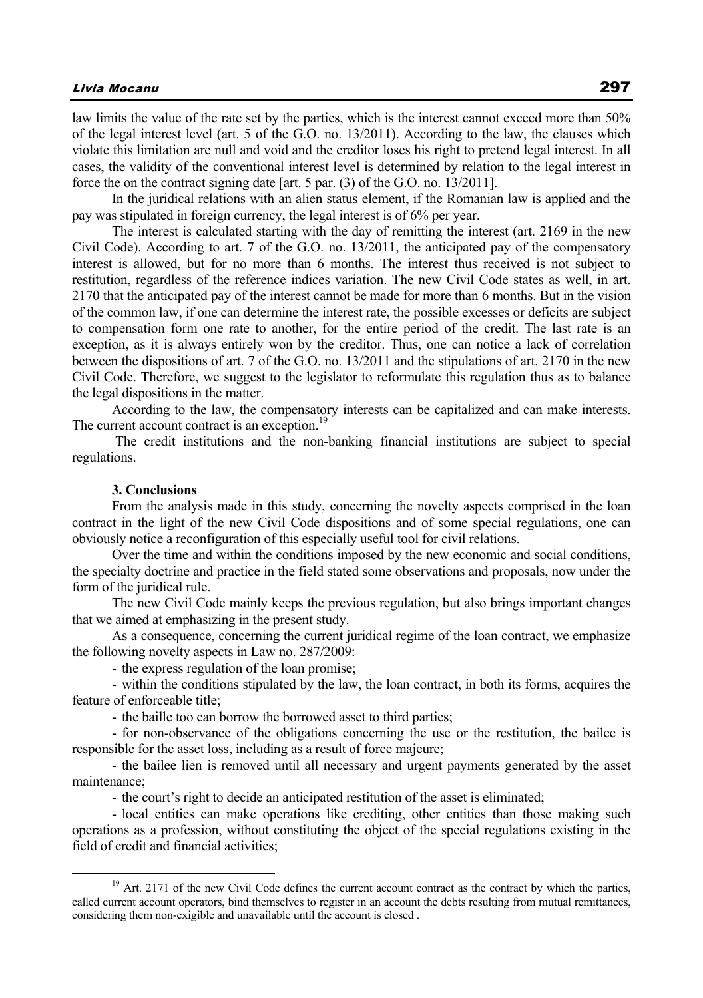law limits the value of the rate set by the parties, which is the interest cannot exceed more than 50% of the legal interest level (art. 5 of the G.O. no. 13/2011). According to the law, the clauses which violate this limitation are null and void and the creditor loses his right to pretend legal interest. In all cases, the validity of the conventional interest level is determined by relation to the legal interest in force the on the contract signing date [art. 5 par. (3) of the G.O. no. 13/2011].

In the juridical relations with an alien status element, if the Romanian law is applied and the pay was stipulated in foreign currency, the legal interest is of 6% per year.

The interest is calculated starting with the day of remitting the interest (art. 2169 in the new Civil Code). According to art. 7 of the G.O. no. 13/2011, the anticipated pay of the compensatory interest is allowed, but for no more than 6 months. The interest thus received is not subject to restitution, regardless of the reference indices variation. The new Civil Code states as well, in art. 2170 that the anticipated pay of the interest cannot be made for more than 6 months. But in the vision of the common law, if one can determine the interest rate, the possible excesses or deficits are subject to compensation form one rate to another, for the entire period of the credit. The last rate is an exception, as it is always entirely won by the creditor. Thus, one can notice a lack of correlation between the dispositions of art. 7 of the G.O. no. 13/2011 and the stipulations of art. 2170 in the new Civil Code. Therefore, we suggest to the legislator to reformulate this regulation thus as to balance the legal dispositions in the matter.

According to the law, the compensatory interests can be capitalized and can make interests. The current account contract is an exception.<sup>19</sup>

 The credit institutions and the non-banking financial institutions are subject to special regulations.

#### **3. Conclusions**

From the analysis made in this study, concerning the novelty aspects comprised in the loan contract in the light of the new Civil Code dispositions and of some special regulations, one can obviously notice a reconfiguration of this especially useful tool for civil relations.

Over the time and within the conditions imposed by the new economic and social conditions, the specialty doctrine and practice in the field stated some observations and proposals, now under the form of the juridical rule.

The new Civil Code mainly keeps the previous regulation, but also brings important changes that we aimed at emphasizing in the present study.

As a consequence, concerning the current juridical regime of the loan contract, we emphasize the following novelty aspects in Law no. 287/2009:

- the express regulation of the loan promise;

- within the conditions stipulated by the law, the loan contract, in both its forms, acquires the feature of enforceable title;

- the baille too can borrow the borrowed asset to third parties;

- for non-observance of the obligations concerning the use or the restitution, the bailee is responsible for the asset loss, including as a result of force majeure;

- the bailee lien is removed until all necessary and urgent payments generated by the asset maintenance;

- the court's right to decide an anticipated restitution of the asset is eliminated;

- local entities can make operations like crediting, other entities than those making such operations as a profession, without constituting the object of the special regulations existing in the field of credit and financial activities;

<sup>&</sup>lt;sup>19</sup> Art. 2171 of the new Civil Code defines the current account contract as the contract by which the parties, called current account operators, bind themselves to register in an account the debts resulting from mutual remittances, considering them non-exigible and unavailable until the account is closed .